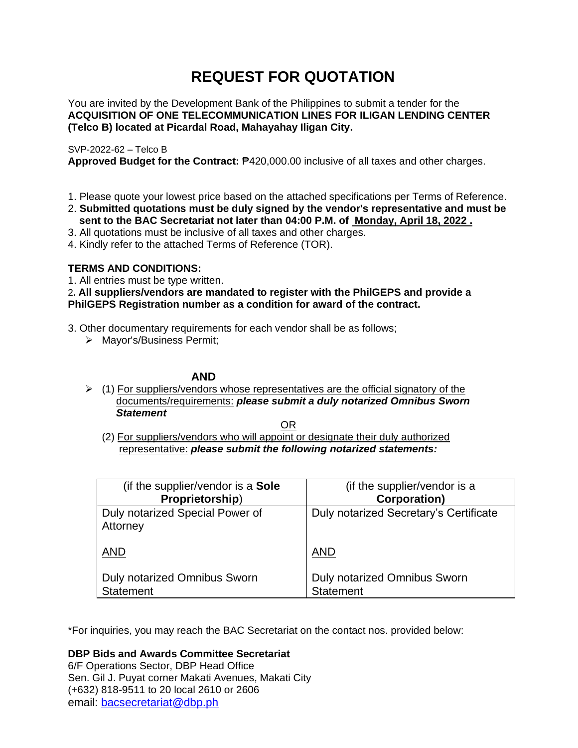# **REQUEST FOR QUOTATION**

You are invited by the Development Bank of the Philippines to submit a tender for the **ACQUISITION OF ONE TELECOMMUNICATION LINES FOR ILIGAN LENDING CENTER (Telco B) located at Picardal Road, Mahayahay Iligan City.**

### SVP-2022-62 – Telco B

**Approved Budget for the Contract:** ₱420,000.00 inclusive of all taxes and other charges.

- 1. Please quote your lowest price based on the attached specifications per Terms of Reference.
- 2. **Submitted quotations must be duly signed by the vendor's representative and must be sent to the BAC Secretariat not later than 04:00 P.M. of Monday, April 18, 2022 .**
- 3. All quotations must be inclusive of all taxes and other charges.
- 4. Kindly refer to the attached Terms of Reference (TOR).

# **TERMS AND CONDITIONS:**

1. All entries must be type written.

## 2**. All suppliers/vendors are mandated to register with the PhilGEPS and provide a PhilGEPS Registration number as a condition for award of the contract.**

- 3. Other documentary requirements for each vendor shall be as follows;
	- ➢ Mayor's/Business Permit;

## **AND**

 $\geq$  (1) For suppliers/vendors whose representatives are the official signatory of the documents/requirements: *please submit a duly notarized Omnibus Sworn Statement*

<u>OR Starting and the Starting OR Starting</u>

(2) For suppliers/vendors who will appoint or designate their duly authorized representative: *please submit the following notarized statements:*

| (if the supplier/vendor is a Sole                       | (if the supplier/vendor is a                     |
|---------------------------------------------------------|--------------------------------------------------|
| Proprietorship)                                         | <b>Corporation</b> )                             |
| Duly notarized Special Power of<br>Attorney             | Duly notarized Secretary's Certificate           |
| <b>AND</b>                                              | <b>AND</b>                                       |
| <b>Duly notarized Omnibus Sworn</b><br><b>Statement</b> | Duly notarized Omnibus Sworn<br><b>Statement</b> |

\*For inquiries, you may reach the BAC Secretariat on the contact nos. provided below:

**DBP Bids and Awards Committee Secretariat** 

6/F Operations Sector, DBP Head Office Sen. Gil J. Puyat corner Makati Avenues, Makati City (+632) 818-9511 to 20 local 2610 or 2606 email: [bacsecretariat@dbp.ph](mailto:bacsecretariat@dbp.ph)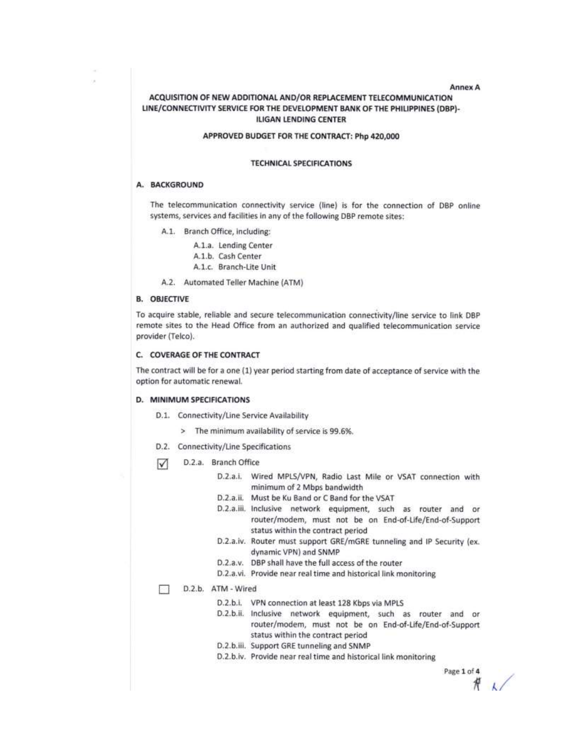Annex A

### ACQUISITION OF NEW ADDITIONAL AND/OR REPLACEMENT TELECOMMUNICATION LINE/CONNECTIVITY SERVICE FOR THE DEVELOPMENT BANK OF THE PHILIPPINES (DBP)-**ILIGAN LENDING CENTER**

### APPROVED BUDGET FOR THE CONTRACT: Php 420,000

#### **TECHNICAL SPECIFICATIONS**

#### A. BACKGROUND

The telecommunication connectivity service (line) is for the connection of DBP online systems, services and facilities in any of the following DBP remote sites:

- A.1. Branch Office, including:
	- A.1.a. Lending Center
	- A.1.b. Cash Center
	- A.1.c. Branch-Lite Unit
- A.2. Automated Teller Machine (ATM)

#### **B. OBJECTIVE**

To acquire stable, reliable and secure telecommunication connectivity/line service to link DBP remote sites to the Head Office from an authorized and qualified telecommunication service provider (Telco).

### C. COVERAGE OF THE CONTRACT

The contract will be for a one (1) year period starting from date of acceptance of service with the option for automatic renewal.

#### D. MINIMUM SPECIFICATIONS

- D.1. Connectivity/Line Service Availability
	- > The minimum availability of service is 99.6%.
- D.2. Connectivity/Line Specifications
- D.2.a. Branch Office ☑
	- D.2.a.i. Wired MPLS/VPN, Radio Last Mile or VSAT connection with minimum of 2 Mbps bandwidth
	- D.2.a.ii. Must be Ku Band or C Band for the VSAT
	- D.2.a.iii. Inclusive network equipment, such as router and or router/modem, must not be on End-of-Life/End-of-Support status within the contract period
	- D.2.a.iv. Router must support GRE/mGRE tunneling and IP Security (ex. dynamic VPN) and SNMP
	- D.2.a.v. DBP shall have the full access of the router
	- D.2.a.vi. Provide near real time and historical link monitoring

#### D.2.b. ATM - Wired

- D.2.b.i. VPN connection at least 128 Kbps via MPLS
- D.2.b.ii. Inclusive network equipment, such as router and or router/modem, must not be on End-of-Life/End-of-Support status within the contract period
- D.2.b.iii. Support GRE tunneling and SNMP
- D.2.b.iv. Provide near real time and historical link monitoring

Page 1 of 4  $#$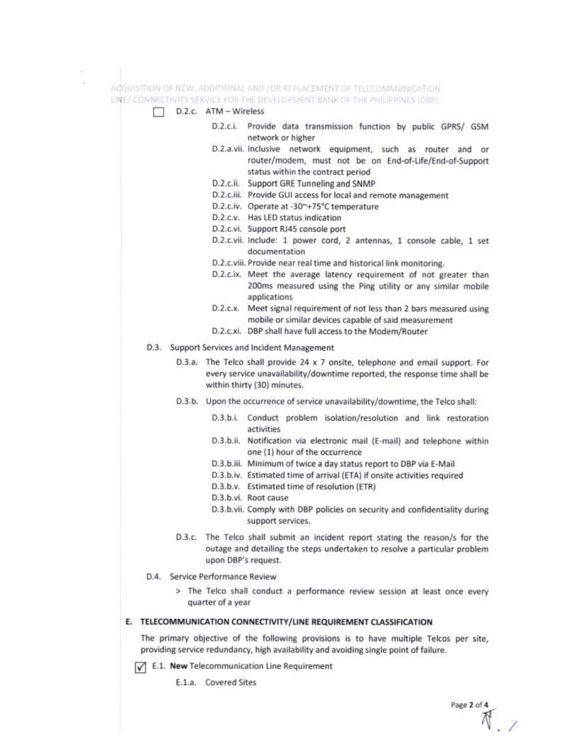

 $\sqrt{\phantom{a}}$  E.1. New Telecommunication Line Requirement

E.1.a. Covered Sites

Page 2 of 4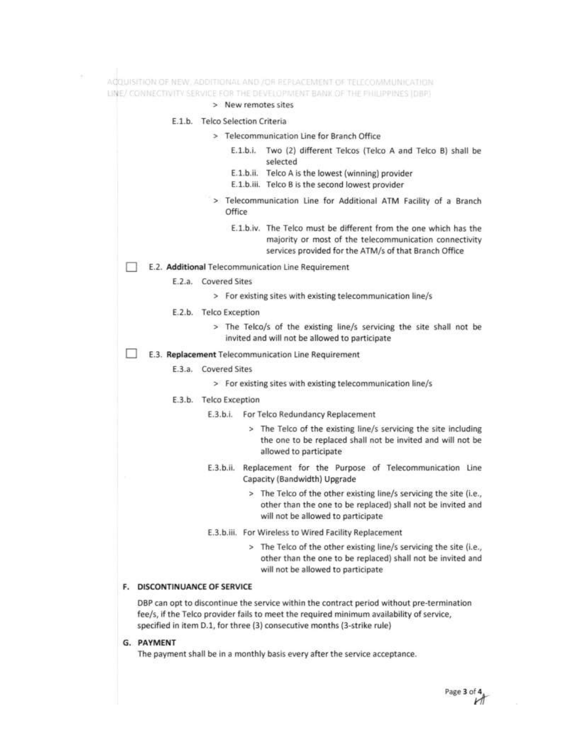|                      | > New remotes sites                                                                                                                                                                 |
|----------------------|-------------------------------------------------------------------------------------------------------------------------------------------------------------------------------------|
|                      | E.1.b. Telco Selection Criteria                                                                                                                                                     |
|                      | > Telecommunication Line for Branch Office                                                                                                                                          |
|                      | E.1.b.i. Two (2) different Telcos (Telco A and Telco B) shall be<br>selected                                                                                                        |
|                      | E.1.b.ii. Telco A is the lowest (winning) provider<br>E.1.b.iii. Telco B is the second lowest provider                                                                              |
|                      | > Telecommunication Line for Additional ATM Facility of a Branch<br>Office                                                                                                          |
|                      | E.1.b.iv. The Telco must be different from the one which has the<br>majority or most of the telecommunication connectivity<br>services provided for the ATM/s of that Branch Office |
|                      | E.2. Additional Telecommunication Line Requirement                                                                                                                                  |
| E.2.a. Covered Sites |                                                                                                                                                                                     |
|                      | > For existing sites with existing telecommunication line/s                                                                                                                         |
|                      | E.2.b. Telco Exception                                                                                                                                                              |
|                      | > The Telco/s of the existing line/s servicing the site shall not be<br>invited and will not be allowed to participate                                                              |
|                      | E.3. Replacement Telecommunication Line Requirement                                                                                                                                 |
| E.3.a.               | <b>Covered Sites</b>                                                                                                                                                                |
|                      | > For existing sites with existing telecommunication line/s                                                                                                                         |
|                      | E.3.b. Telco Exception                                                                                                                                                              |
|                      | E.3.b.i.<br>For Telco Redundancy Replacement                                                                                                                                        |
|                      | > The Telco of the existing line/s servicing the site including<br>the one to be replaced shall not be invited and will not be<br>allowed to participate                            |
|                      | Replacement for the Purpose of Telecommunication Line<br>E.3.b.ii.<br>Capacity (Bandwidth) Upgrade                                                                                  |
|                      | > The Telco of the other existing line/s servicing the site (i.e.,<br>other than the one to be replaced) shall not be invited and<br>will not be allowed to participate             |
|                      | E.3.b.iii. For Wireless to Wired Facility Replacement                                                                                                                               |
|                      | > The Telco of the other existing line/s servicing the site (i.e.,<br>other than the one to be replaced) shall not be invited and                                                   |

DBP can opt to discontinue the service within the contract period without pre-termination fee/s, if the Telco provider fails to meet the required minimum availability of service, specified in item D.1, for three (3) consecutive months (3-strike rule)

G. PAYMENT

 $\mathcal{C}^{\mathcal{C}}_{\mathcal{C}}$ 

The payment shall be in a monthly basis every after the service acceptance.